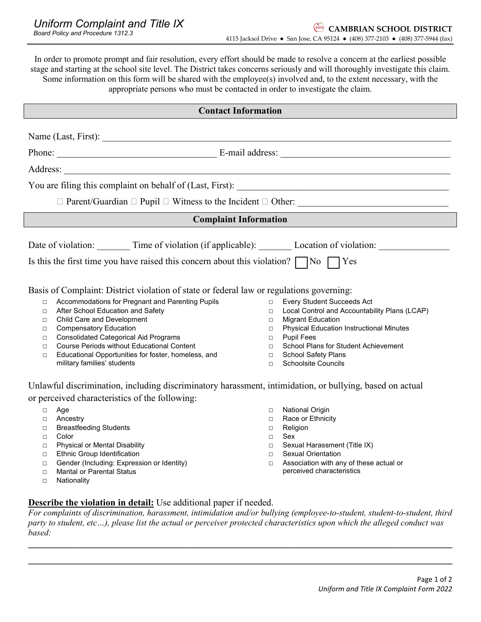In order to promote prompt and fair resolution, every effort should be made to resolve a concern at the earliest possible stage and starting at the school site level. The District takes concerns seriously and will thoroughly investigate this claim. Some information on this form will be shared with the employee(s) involved and, to the extent necessary, with the appropriate persons who must be contacted in order to investigate the claim.

## **Contact Information**

|                                                                                                                                                                                                                  | Phone: <u>New York: E-mail address:</u> New York: New York: New York: New York: New York: New York: New York: New York: New York: New York: New York: New York: New York: New York: New York: New York: New York: New York: New Yor                                                                                                                                                                                                         |                                                                              |                                                                                                                                                                                                                                                                                            |  |  |  |  |
|------------------------------------------------------------------------------------------------------------------------------------------------------------------------------------------------------------------|---------------------------------------------------------------------------------------------------------------------------------------------------------------------------------------------------------------------------------------------------------------------------------------------------------------------------------------------------------------------------------------------------------------------------------------------|------------------------------------------------------------------------------|--------------------------------------------------------------------------------------------------------------------------------------------------------------------------------------------------------------------------------------------------------------------------------------------|--|--|--|--|
|                                                                                                                                                                                                                  |                                                                                                                                                                                                                                                                                                                                                                                                                                             |                                                                              |                                                                                                                                                                                                                                                                                            |  |  |  |  |
|                                                                                                                                                                                                                  |                                                                                                                                                                                                                                                                                                                                                                                                                                             |                                                                              |                                                                                                                                                                                                                                                                                            |  |  |  |  |
|                                                                                                                                                                                                                  |                                                                                                                                                                                                                                                                                                                                                                                                                                             |                                                                              |                                                                                                                                                                                                                                                                                            |  |  |  |  |
| <b>Complaint Information</b>                                                                                                                                                                                     |                                                                                                                                                                                                                                                                                                                                                                                                                                             |                                                                              |                                                                                                                                                                                                                                                                                            |  |  |  |  |
| Date of violation: _________ Time of violation (if applicable): __________ Location of violation: ____________<br>Is this the first time you have raised this concern about this violation? $\Box$ No $\Box$ Yes |                                                                                                                                                                                                                                                                                                                                                                                                                                             |                                                                              |                                                                                                                                                                                                                                                                                            |  |  |  |  |
| $\Box$<br>$\Box$<br>$\Box$<br>$\Box$<br>$\Box$<br>$\Box$<br>$\Box$                                                                                                                                               | Basis of Complaint: District violation of state or federal law or regulations governing:<br>Accommodations for Pregnant and Parenting Pupils<br>After School Education and Safety<br>Child Care and Development<br><b>Compensatory Education</b><br><b>Consolidated Categorical Aid Programs</b><br><b>Course Periods without Educational Content</b><br>Educational Opportunities for foster, homeless, and<br>military families' students | $\Box$<br>$\Box$<br>$\Box$<br>$\Box$<br>$\Box$<br>$\Box$<br>$\Box$<br>$\Box$ | <b>Every Student Succeeds Act</b><br>Local Control and Accountability Plans (LCAP)<br><b>Migrant Education</b><br><b>Physical Education Instructional Minutes</b><br><b>Pupil Fees</b><br>School Plans for Student Achievement<br><b>School Safety Plans</b><br><b>Schoolsite Councils</b> |  |  |  |  |
| Unlawful discrimination, including discriminatory harassment, intimidation, or bullying, based on actual<br>or perceived characteristics of the following:                                                       |                                                                                                                                                                                                                                                                                                                                                                                                                                             |                                                                              |                                                                                                                                                                                                                                                                                            |  |  |  |  |
| $\Box$<br>$\Box$<br>$\Box$<br>$\Box$<br>$\Box$<br>$\Box$<br>$\Box$<br>$\Box$<br>$\Box$                                                                                                                           | Age<br>Ancestry<br><b>Breastfeeding Students</b><br>Color<br>Physical or Mental Disability<br>Ethnic Group Identification<br>Gender (Including: Expression or Identity)<br><b>Marital or Parental Status</b><br><b>Nationality</b>                                                                                                                                                                                                          | $\Box$<br>$\Box$<br>$\Box$<br>$\Box$<br>$\Box$<br>$\Box$<br>$\Box$           | <b>National Origin</b><br>Race or Ethnicity<br>Religion<br>Sex<br>Sexual Harassment (Title IX)<br><b>Sexual Orientation</b><br>Association with any of these actual or<br>perceived characteristics                                                                                        |  |  |  |  |

## **Describe the violation in detail:** Use additional paper if needed.

*For complaints of discrimination, harassment, intimidation and/or bullying (employee-to-student, student-to-student, third party to student, etc…), please list the actual or perceiver protected characteristics upon which the alleged conduct was based:* 

**\_\_\_\_\_\_\_\_\_\_\_\_\_\_\_\_\_\_\_\_\_\_\_\_\_\_\_\_\_\_\_\_\_\_\_\_\_\_\_\_\_\_\_\_\_\_\_\_\_\_\_\_\_\_\_\_\_\_\_\_\_\_\_\_\_\_\_\_\_\_\_\_\_\_\_\_\_\_\_\_\_\_\_\_\_\_\_\_\_\_**

**\_\_\_\_\_\_\_\_\_\_\_\_\_\_\_\_\_\_\_\_\_\_\_\_\_\_\_\_\_\_\_\_\_\_\_\_\_\_\_\_\_\_\_\_\_\_\_\_\_\_\_\_\_\_\_\_\_\_\_\_\_\_\_\_\_\_\_\_\_\_\_\_\_\_\_\_\_\_\_\_\_\_\_\_\_\_\_\_\_\_**